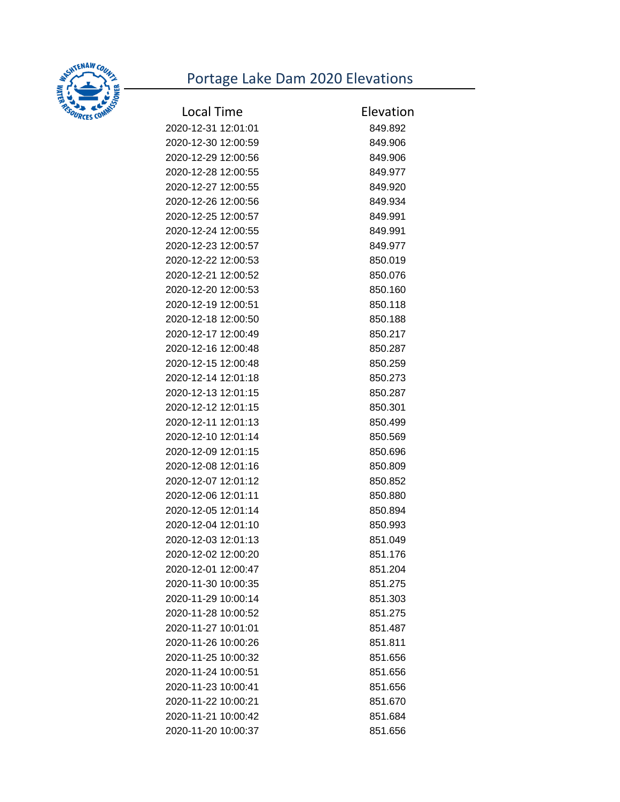## Portage Lake Dam 2020 Elevations



| <b>Local Time</b>   | Elevation |
|---------------------|-----------|
| 2020-12-31 12:01:01 | 849.892   |
| 2020-12-30 12:00:59 | 849.906   |
| 2020-12-29 12:00:56 | 849.906   |
| 2020-12-28 12:00:55 | 849.977   |
| 2020-12-27 12:00:55 | 849.920   |
| 2020-12-26 12:00:56 | 849.934   |
| 2020-12-25 12:00:57 | 849.991   |
| 2020-12-24 12:00:55 | 849.991   |
| 2020-12-23 12:00:57 | 849.977   |
| 2020-12-22 12:00:53 | 850.019   |
| 2020-12-21 12:00:52 | 850.076   |
| 2020-12-20 12:00:53 | 850.160   |
| 2020-12-19 12:00:51 | 850.118   |
| 2020-12-18 12:00:50 | 850.188   |
| 2020-12-17 12:00:49 | 850.217   |
| 2020-12-16 12:00:48 | 850.287   |
| 2020-12-15 12:00:48 | 850.259   |
| 2020-12-14 12:01:18 | 850.273   |
| 2020-12-13 12:01:15 | 850.287   |
| 2020-12-12 12:01:15 | 850.301   |
| 2020-12-11 12:01:13 | 850.499   |
| 2020-12-10 12:01:14 | 850.569   |
| 2020-12-09 12:01:15 | 850.696   |
| 2020-12-08 12:01:16 | 850.809   |
| 2020-12-07 12:01:12 | 850.852   |
| 2020-12-06 12:01:11 | 850.880   |
| 2020-12-05 12:01:14 | 850.894   |
| 2020-12-04 12:01:10 | 850.993   |
| 2020-12-03 12:01:13 | 851.049   |
| 2020-12-02 12:00:20 | 851.176   |
| 2020-12-01 12:00:47 | 851.204   |
| 2020-11-30 10:00:35 | 851.275   |
| 2020-11-29 10:00:14 | 851.303   |
| 2020-11-28 10:00:52 | 851.275   |
| 2020-11-27 10:01:01 | 851.487   |
| 2020-11-26 10:00:26 | 851.811   |
| 2020-11-25 10:00:32 | 851.656   |
| 2020-11-24 10:00:51 | 851.656   |
| 2020-11-23 10:00:41 | 851.656   |
| 2020-11-22 10:00:21 | 851.670   |
| 2020-11-21 10:00:42 | 851.684   |
| 2020-11-20 10:00:37 | 851.656   |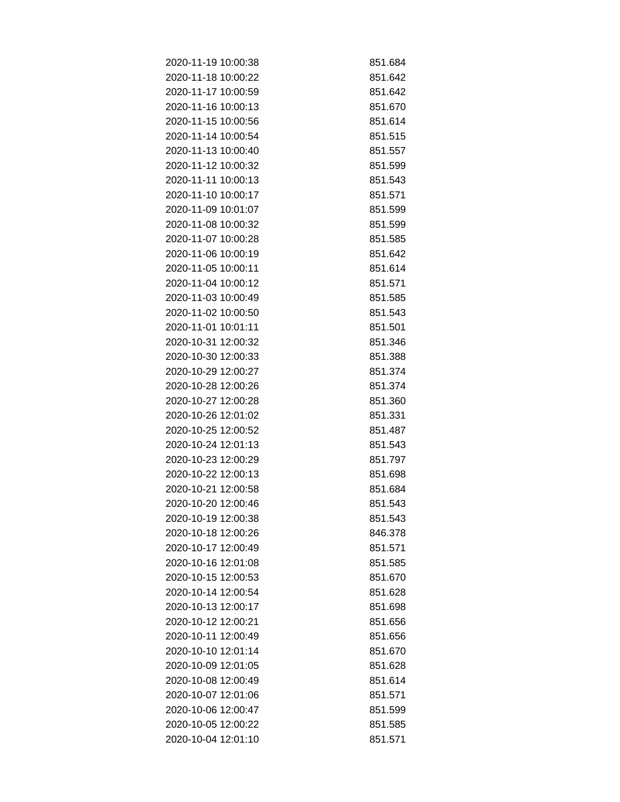| 2020-11-19 10:00:38 | 851.684 |
|---------------------|---------|
| 2020-11-18 10:00:22 | 851.642 |
| 2020-11-17 10:00:59 | 851.642 |
| 2020-11-16 10:00:13 | 851.670 |
| 2020-11-15 10:00:56 | 851.614 |
| 2020-11-14 10:00:54 | 851.515 |
| 2020-11-13 10:00:40 | 851.557 |
| 2020-11-12 10:00:32 | 851.599 |
| 2020-11-11 10:00:13 | 851.543 |
| 2020-11-10 10:00:17 | 851.571 |
| 2020-11-09 10:01:07 | 851.599 |
| 2020-11-08 10:00:32 | 851.599 |
| 2020-11-07 10:00:28 | 851.585 |
| 2020-11-06 10:00:19 | 851.642 |
| 2020-11-05 10:00:11 | 851.614 |
| 2020-11-04 10:00:12 | 851.571 |
| 2020-11-03 10:00:49 | 851.585 |
| 2020-11-02 10:00:50 | 851.543 |
| 2020-11-01 10:01:11 | 851.501 |
| 2020-10-31 12:00:32 | 851.346 |
| 2020-10-30 12:00:33 | 851.388 |
| 2020-10-29 12:00:27 | 851.374 |
| 2020-10-28 12:00:26 | 851.374 |
| 2020-10-27 12:00:28 | 851.360 |
| 2020-10-26 12:01:02 | 851.331 |
| 2020-10-25 12:00:52 | 851.487 |
| 2020-10-24 12:01:13 | 851.543 |
| 2020-10-23 12:00:29 | 851.797 |
| 2020-10-22 12:00:13 | 851.698 |
| 2020-10-21 12:00:58 | 851.684 |
| 2020-10-20 12:00:46 | 851.543 |
| 2020-10-19 12:00:38 | 851.543 |
| 2020-10-18 12:00:26 | 846.378 |
| 2020-10-17 12:00:49 | 851.571 |
| 2020-10-16 12:01:08 | 851.585 |
| 2020-10-15 12:00:53 | 851.670 |
| 2020-10-14 12:00:54 | 851.628 |
| 2020-10-13 12:00:17 | 851.698 |
| 2020-10-12 12:00:21 | 851.656 |
| 2020-10-11 12:00:49 | 851.656 |
| 2020-10-10 12:01:14 | 851.670 |
| 2020-10-09 12:01:05 | 851.628 |
| 2020-10-08 12:00:49 | 851.614 |
| 2020-10-07 12:01:06 | 851.571 |
| 2020-10-06 12:00:47 | 851.599 |
| 2020-10-05 12:00:22 | 851.585 |
| 2020-10-04 12:01:10 | 851.571 |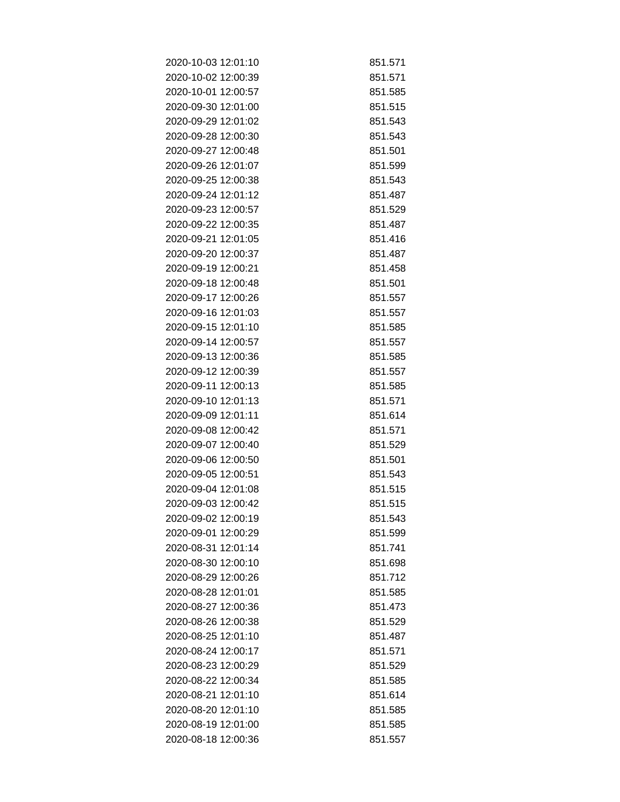| 2020-10-03 12:01:10 | 851.571 |
|---------------------|---------|
| 2020-10-02 12:00:39 | 851.571 |
| 2020-10-01 12:00:57 | 851.585 |
| 2020-09-30 12:01:00 | 851.515 |
| 2020-09-29 12:01:02 | 851.543 |
| 2020-09-28 12:00:30 | 851.543 |
| 2020-09-27 12:00:48 | 851.501 |
| 2020-09-26 12:01:07 | 851.599 |
| 2020-09-25 12:00:38 | 851.543 |
| 2020-09-24 12:01:12 | 851.487 |
| 2020-09-23 12:00:57 | 851.529 |
| 2020-09-22 12:00:35 | 851.487 |
| 2020-09-21 12:01:05 | 851.416 |
| 2020-09-20 12:00:37 | 851.487 |
| 2020-09-19 12:00:21 | 851.458 |
| 2020-09-18 12:00:48 | 851.501 |
| 2020-09-17 12:00:26 | 851.557 |
| 2020-09-16 12:01:03 | 851.557 |
| 2020-09-15 12:01:10 | 851.585 |
| 2020-09-14 12:00:57 | 851.557 |
| 2020-09-13 12:00:36 | 851.585 |
| 2020-09-12 12:00:39 | 851.557 |
| 2020-09-11 12:00:13 | 851.585 |
| 2020-09-10 12:01:13 | 851.571 |
| 2020-09-09 12:01:11 | 851.614 |
| 2020-09-08 12:00:42 | 851.571 |
| 2020-09-07 12:00:40 | 851.529 |
| 2020-09-06 12:00:50 | 851.501 |
| 2020-09-05 12:00:51 | 851.543 |
| 2020-09-04 12:01:08 | 851.515 |
| 2020-09-03 12:00:42 | 851.515 |
| 2020-09-02 12:00:19 | 851.543 |
| 2020-09-01 12:00:29 | 851.599 |
| 2020-08-31 12:01:14 | 851.741 |
| 2020-08-30 12:00:10 | 851.698 |
| 2020-08-29 12:00:26 | 851.712 |
| 2020-08-28 12:01:01 | 851.585 |
| 2020-08-27 12:00:36 | 851.473 |
| 2020-08-26 12:00:38 | 851.529 |
| 2020-08-25 12:01:10 | 851.487 |
| 2020-08-24 12:00:17 | 851.571 |
| 2020-08-23 12:00:29 | 851.529 |
| 2020-08-22 12:00:34 | 851.585 |
| 2020-08-21 12:01:10 | 851.614 |
| 2020-08-20 12:01:10 | 851.585 |
| 2020-08-19 12:01:00 | 851.585 |
| 2020-08-18 12:00:36 | 851.557 |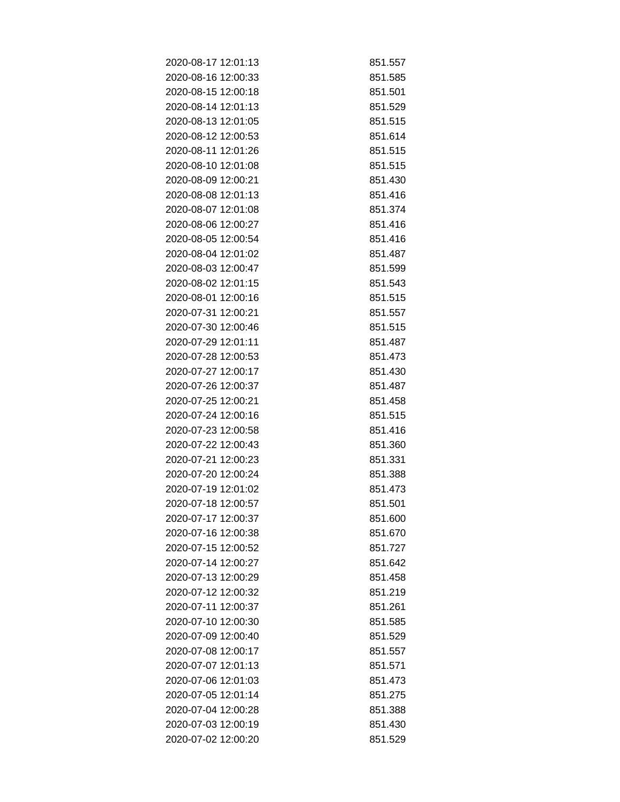| 2020-08-17 12:01:13 | 851.557 |
|---------------------|---------|
| 2020-08-16 12:00:33 | 851.585 |
| 2020-08-15 12:00:18 | 851.501 |
| 2020-08-14 12:01:13 | 851.529 |
| 2020-08-13 12:01:05 | 851.515 |
| 2020-08-12 12:00:53 | 851.614 |
| 2020-08-11 12:01:26 | 851.515 |
| 2020-08-10 12:01:08 | 851.515 |
| 2020-08-09 12:00:21 | 851.430 |
| 2020-08-08 12:01:13 | 851.416 |
| 2020-08-07 12:01:08 | 851.374 |
| 2020-08-06 12:00:27 | 851.416 |
| 2020-08-05 12:00:54 | 851.416 |
| 2020-08-04 12:01:02 | 851.487 |
| 2020-08-03 12:00:47 | 851.599 |
| 2020-08-02 12:01:15 | 851.543 |
| 2020-08-01 12:00:16 | 851.515 |
| 2020-07-31 12:00:21 | 851.557 |
| 2020-07-30 12:00:46 | 851.515 |
| 2020-07-29 12:01:11 | 851.487 |
| 2020-07-28 12:00:53 | 851.473 |
| 2020-07-27 12:00:17 | 851.430 |
| 2020-07-26 12:00:37 | 851.487 |
| 2020-07-25 12:00:21 | 851.458 |
| 2020-07-24 12:00:16 | 851.515 |
| 2020-07-23 12:00:58 | 851.416 |
| 2020-07-22 12:00:43 | 851.360 |
| 2020-07-21 12:00:23 | 851.331 |
| 2020-07-20 12:00:24 | 851.388 |
| 2020-07-19 12:01:02 | 851.473 |
| 2020-07-18 12:00:57 | 851.501 |
| 2020-07-17 12:00:37 | 851.600 |
| 2020-07-16 12:00:38 | 851.670 |
| 2020-07-15 12:00:52 | 851.727 |
| 2020-07-14 12:00:27 | 851.642 |
| 2020-07-13 12:00:29 | 851.458 |
| 2020-07-12 12:00:32 | 851.219 |
| 2020-07-11 12:00:37 | 851.261 |
| 2020-07-10 12:00:30 | 851.585 |
| 2020-07-09 12:00:40 | 851.529 |
| 2020-07-08 12:00:17 | 851.557 |
| 2020-07-07 12:01:13 | 851.571 |
| 2020-07-06 12:01:03 | 851.473 |
| 2020-07-05 12:01:14 | 851.275 |
| 2020-07-04 12:00:28 | 851.388 |
| 2020-07-03 12:00:19 | 851.430 |
| 2020-07-02 12:00:20 | 851.529 |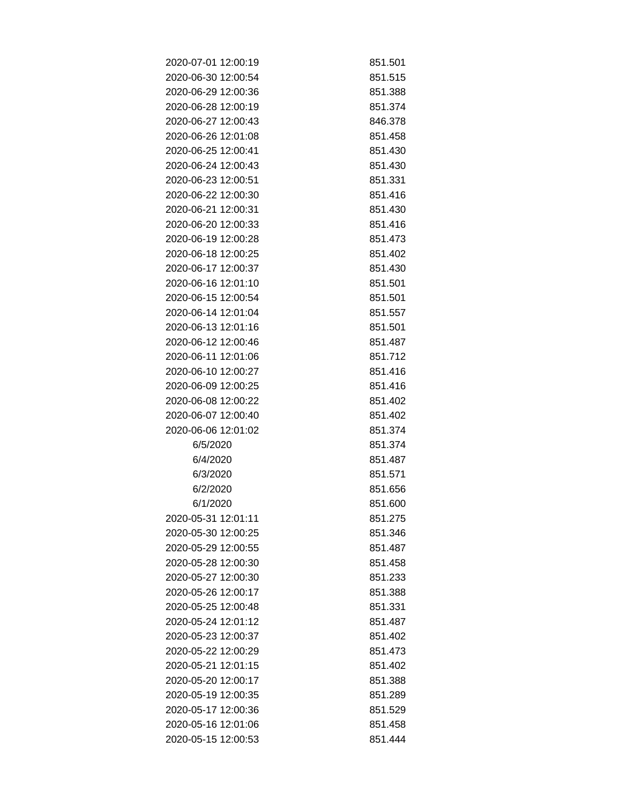| 2020-07-01 12:00:19 | 851.501 |
|---------------------|---------|
| 2020-06-30 12:00:54 | 851.515 |
| 2020-06-29 12:00:36 | 851.388 |
| 2020-06-28 12:00:19 | 851.374 |
| 2020-06-27 12:00:43 | 846.378 |
| 2020-06-26 12:01:08 | 851.458 |
| 2020-06-25 12:00:41 | 851.430 |
| 2020-06-24 12:00:43 | 851.430 |
| 2020-06-23 12:00:51 | 851.331 |
| 2020-06-22 12:00:30 | 851.416 |
| 2020-06-21 12:00:31 | 851.430 |
| 2020-06-20 12:00:33 | 851.416 |
| 2020-06-19 12:00:28 | 851.473 |
| 2020-06-18 12:00:25 | 851.402 |
| 2020-06-17 12:00:37 | 851.430 |
| 2020-06-16 12:01:10 | 851.501 |
| 2020-06-15 12:00:54 | 851.501 |
| 2020-06-14 12:01:04 | 851.557 |
| 2020-06-13 12:01:16 | 851.501 |
| 2020-06-12 12:00:46 | 851.487 |
| 2020-06-11 12:01:06 | 851.712 |
| 2020-06-10 12:00:27 | 851.416 |
| 2020-06-09 12:00:25 | 851.416 |
| 2020-06-08 12:00:22 | 851.402 |
| 2020-06-07 12:00:40 | 851.402 |
| 2020-06-06 12:01:02 | 851.374 |
| 6/5/2020            | 851.374 |
| 6/4/2020            | 851.487 |
| 6/3/2020            | 851.571 |
| 6/2/2020            | 851.656 |
| 6/1/2020            | 851.600 |
| 2020-05-31 12:01:11 | 851.275 |
| 2020-05-30 12:00:25 | 851.346 |
| 2020-05-29 12:00:55 | 851.487 |
| 2020-05-28 12:00:30 | 851.458 |
| 2020-05-27 12:00:30 | 851.233 |
| 2020-05-26 12:00:17 | 851.388 |
| 2020-05-25 12:00:48 | 851.331 |
| 2020-05-24 12:01:12 | 851.487 |
| 2020-05-23 12:00:37 | 851.402 |
| 2020-05-22 12:00:29 | 851.473 |
| 2020-05-21 12:01:15 | 851.402 |
| 2020-05-20 12:00:17 | 851.388 |
| 2020-05-19 12:00:35 | 851.289 |
| 2020-05-17 12:00:36 | 851.529 |
| 2020-05-16 12:01:06 | 851.458 |
| 2020-05-15 12:00:53 | 851.444 |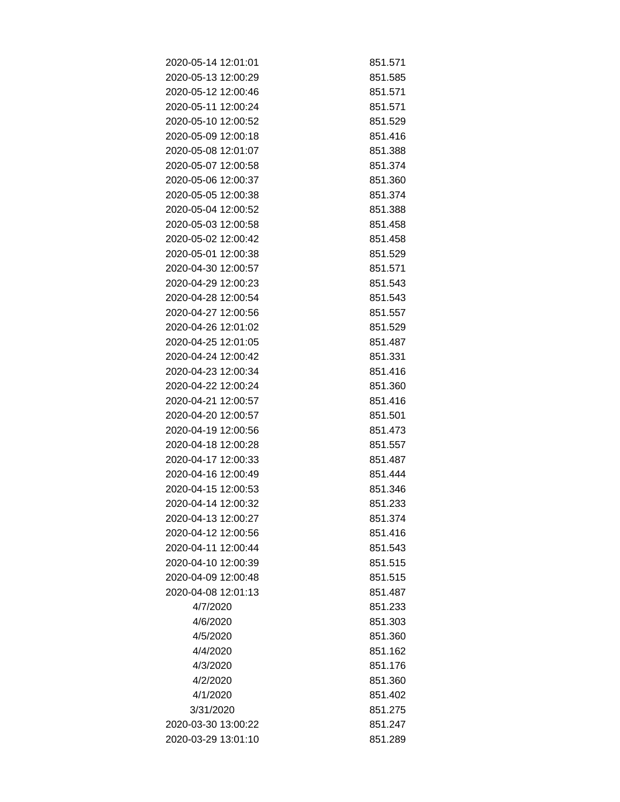| 2020-05-14 12:01:01 | 851.571 |
|---------------------|---------|
| 2020-05-13 12:00:29 | 851.585 |
| 2020-05-12 12:00:46 | 851.571 |
| 2020-05-11 12:00:24 | 851.571 |
| 2020-05-10 12:00:52 | 851.529 |
| 2020-05-09 12:00:18 | 851.416 |
| 2020-05-08 12:01:07 | 851.388 |
| 2020-05-07 12:00:58 | 851.374 |
| 2020-05-06 12:00:37 | 851.360 |
| 2020-05-05 12:00:38 | 851.374 |
| 2020-05-04 12:00:52 | 851.388 |
| 2020-05-03 12:00:58 | 851.458 |
| 2020-05-02 12:00:42 | 851.458 |
| 2020-05-01 12:00:38 | 851.529 |
| 2020-04-30 12:00:57 | 851.571 |
| 2020-04-29 12:00:23 | 851.543 |
| 2020-04-28 12:00:54 | 851.543 |
| 2020-04-27 12:00:56 | 851.557 |
| 2020-04-26 12:01:02 | 851.529 |
| 2020-04-25 12:01:05 | 851.487 |
| 2020-04-24 12:00:42 | 851.331 |
| 2020-04-23 12:00:34 | 851.416 |
| 2020-04-22 12:00:24 | 851.360 |
| 2020-04-21 12:00:57 | 851.416 |
| 2020-04-20 12:00:57 | 851.501 |
| 2020-04-19 12:00:56 | 851.473 |
| 2020-04-18 12:00:28 | 851.557 |
| 2020-04-17 12:00:33 | 851.487 |
| 2020-04-16 12:00:49 | 851.444 |
| 2020-04-15 12:00:53 | 851.346 |
| 2020-04-14 12:00:32 | 851.233 |
| 2020-04-13 12:00:27 | 851.374 |
| 2020-04-12 12:00:56 | 851.416 |
| 2020-04-11 12:00:44 | 851.543 |
| 2020-04-10 12:00:39 | 851.515 |
| 2020-04-09 12:00:48 | 851.515 |
| 2020-04-08 12:01:13 | 851.487 |
| 4/7/2020            | 851.233 |
| 4/6/2020            | 851.303 |
| 4/5/2020            | 851.360 |
| 4/4/2020            | 851.162 |
| 4/3/2020            | 851.176 |
| 4/2/2020            | 851.360 |
| 4/1/2020            | 851.402 |
| 3/31/2020           | 851.275 |
| 2020-03-30 13:00:22 | 851.247 |
| 2020-03-29 13:01:10 | 851.289 |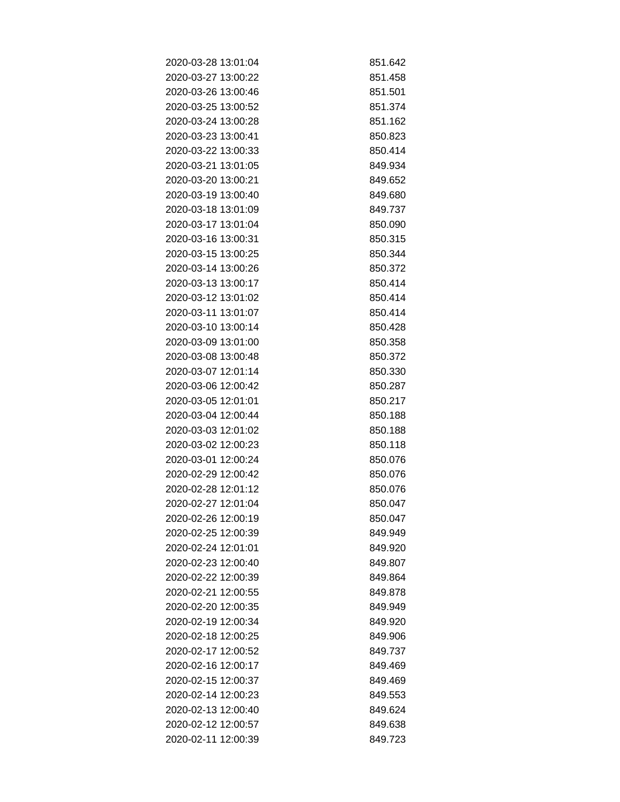| 2020-03-28 13:01:04 | 851.642 |
|---------------------|---------|
| 2020-03-27 13:00:22 | 851.458 |
| 2020-03-26 13:00:46 | 851.501 |
| 2020-03-25 13:00:52 | 851.374 |
| 2020-03-24 13:00:28 | 851.162 |
| 2020-03-23 13:00:41 | 850.823 |
| 2020-03-22 13:00:33 | 850.414 |
| 2020-03-21 13:01:05 | 849.934 |
| 2020-03-20 13:00:21 | 849.652 |
| 2020-03-19 13:00:40 | 849.680 |
| 2020-03-18 13:01:09 | 849.737 |
| 2020-03-17 13:01:04 | 850.090 |
| 2020-03-16 13:00:31 | 850.315 |
| 2020-03-15 13:00:25 | 850.344 |
| 2020-03-14 13:00:26 | 850.372 |
| 2020-03-13 13:00:17 | 850.414 |
| 2020-03-12 13:01:02 | 850.414 |
| 2020-03-11 13:01:07 | 850.414 |
| 2020-03-10 13:00:14 | 850.428 |
| 2020-03-09 13:01:00 | 850.358 |
| 2020-03-08 13:00:48 | 850.372 |
| 2020-03-07 12:01:14 | 850.330 |
| 2020-03-06 12:00:42 | 850.287 |
| 2020-03-05 12:01:01 | 850.217 |
| 2020-03-04 12:00:44 | 850.188 |
| 2020-03-03 12:01:02 | 850.188 |
| 2020-03-02 12:00:23 | 850.118 |
| 2020-03-01 12:00:24 | 850.076 |
| 2020-02-29 12:00:42 | 850.076 |
| 2020-02-28 12:01:12 | 850.076 |
| 2020-02-27 12:01:04 | 850.047 |
| 2020-02-26 12:00:19 | 850.047 |
| 2020-02-25 12:00:39 | 849.949 |
| 2020-02-24 12:01:01 | 849.920 |
| 2020-02-23 12:00:40 | 849.807 |
| 2020-02-22 12:00:39 | 849.864 |
| 2020-02-21 12:00:55 | 849.878 |
| 2020-02-20 12:00:35 | 849.949 |
| 2020-02-19 12:00:34 | 849.920 |
| 2020-02-18 12:00:25 | 849.906 |
| 2020-02-17 12:00:52 | 849.737 |
| 2020-02-16 12:00:17 | 849.469 |
| 2020-02-15 12:00:37 | 849.469 |
| 2020-02-14 12:00:23 | 849.553 |
| 2020-02-13 12:00:40 | 849.624 |
| 2020-02-12 12:00:57 | 849.638 |
| 2020-02-11 12:00:39 | 849.723 |